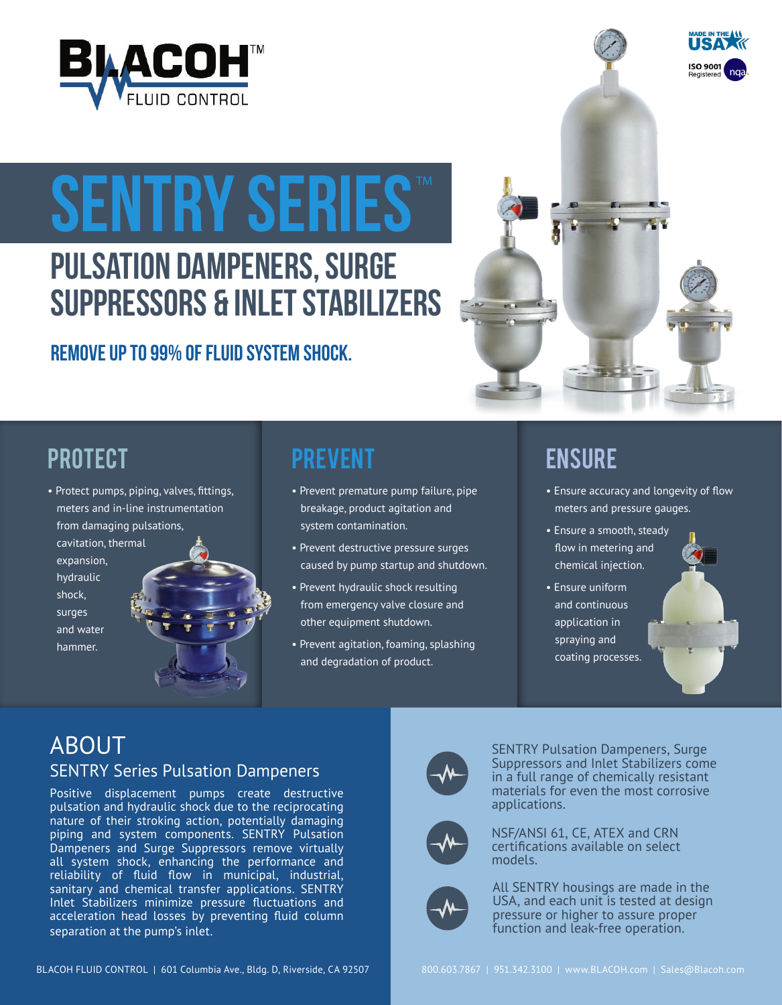

# SENTRY SERIES

# PULSATION DAMPENERS, SURGE SUPPRESSORS & INLET STABILIZERS

## Remove up to 99% of fluid system shock.



# PROTECT PREVENT ENSURE

• Protect pumps, piping, valves, fittings, meters and in-line instrumentation from damaging pulsations, cavitation, thermal expansion, hydraulic

 shock, surges and water

hammer.

- Prevent premature pump failure, pipe breakage, product agitation and system contamination.
- Prevent destructive pressure surges caused by pump startup and shutdown.
- Prevent hydraulic shock resulting from emergency valve closure and other equipment shutdown.
- Prevent agitation, foaming, splashing and degradation of product.

- Ensure accuracy and longevity of flow meters and pressure gauges.
- Ensure a smooth, steady flow in metering and chemical injection.
- Ensure uniform and continuous application in spraying and coating processes.

### ABOUT SENTRY Series Pulsation Dampeners

Positive displacement pumps create destructive pulsation and hydraulic shock due to the reciprocating nature of their stroking action, potentially damaging piping and system components. SENTRY Pulsation Dampeners and Surge Suppressors remove virtually all system shock, enhancing the performance and reliability of fluid flow in municipal, industrial, sanitary and chemical transfer applications. SENTRY Inlet Stabilizers minimize pressure fluctuations and acceleration head losses by preventing fluid column separation at the pump's inlet.



SENTRY Pulsation Dampeners, Surge Suppressors and Inlet Stabilizers come in a full range of chemically resistant materials for even the most corrosive applications.



NSF/ANSI 61, CE, ATEX and CRN certifications available on select models.



All SENTRY housings are made in the USA, and each unit is tested at design pressure or higher to assure proper function and leak-free operation.

BLACOH FLUID CONTROL | 601 Columbia Ave., Bldg. D, Riverside, CA 92507 800.603.7867 | 951.342.3100 | www.BLACOH.com | Sales@Blacoh.com